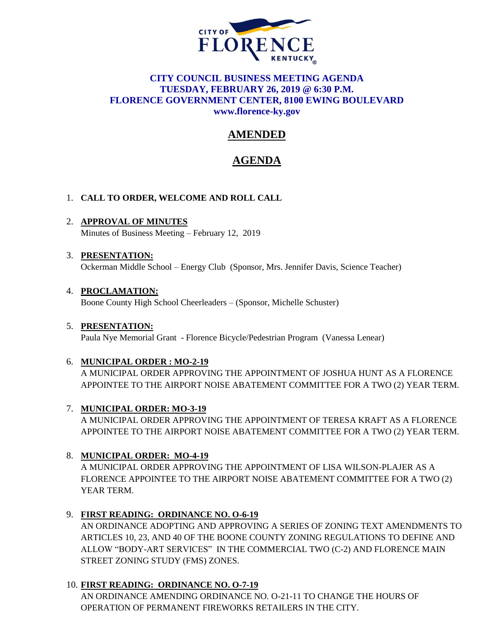

## **CITY COUNCIL BUSINESS MEETING AGENDA TUESDAY, FEBRUARY 26, 2019 @ 6:30 P.M. FLORENCE GOVERNMENT CENTER, 8100 EWING BOULEVARD [www.florence-ky.gov](http://www.florence-ky.gov/)**

# **AMENDED**

## **AGENDA**

## 1. **CALL TO ORDER, WELCOME AND ROLL CALL**

2. **APPROVAL OF MINUTES** Minutes of Business Meeting – February 12, 2019

## 3. **PRESENTATION:**

Ockerman Middle School – Energy Club (Sponsor, Mrs. Jennifer Davis, Science Teacher)

## 4. **PROCLAMATION:**

Boone County High School Cheerleaders – (Sponsor, Michelle Schuster)

## 5. **PRESENTATION:**

Paula Nye Memorial Grant - Florence Bicycle/Pedestrian Program (Vanessa Lenear)

## 6. **MUNICIPAL ORDER : MO-2-19**

A MUNICIPAL ORDER APPROVING THE APPOINTMENT OF JOSHUA HUNT AS A FLORENCE APPOINTEE TO THE AIRPORT NOISE ABATEMENT COMMITTEE FOR A TWO (2) YEAR TERM.

## 7. **MUNICIPAL ORDER: MO-3-19**

A MUNICIPAL ORDER APPROVING THE APPOINTMENT OF TERESA KRAFT AS A FLORENCE APPOINTEE TO THE AIRPORT NOISE ABATEMENT COMMITTEE FOR A TWO (2) YEAR TERM.

## 8. **MUNICIPAL ORDER: MO-4-19**

A MUNICIPAL ORDER APPROVING THE APPOINTMENT OF LISA WILSON-PLAJER AS A FLORENCE APPOINTEE TO THE AIRPORT NOISE ABATEMENT COMMITTEE FOR A TWO (2) YEAR TERM.

## 9. **FIRST READING: ORDINANCE NO. O-6-19**

AN ORDINANCE ADOPTING AND APPROVING A SERIES OF ZONING TEXT AMENDMENTS TO ARTICLES 10, 23, AND 40 OF THE BOONE COUNTY ZONING REGULATIONS TO DEFINE AND ALLOW "BODY-ART SERVICES" IN THE COMMERCIAL TWO (C-2) AND FLORENCE MAIN STREET ZONING STUDY (FMS) ZONES.

## 10. **FIRST READING: ORDINANCE NO. O-7-19**

AN ORDINANCE AMENDING ORDINANCE NO. O-21-11 TO CHANGE THE HOURS OF OPERATION OF PERMANENT FIREWORKS RETAILERS IN THE CITY.